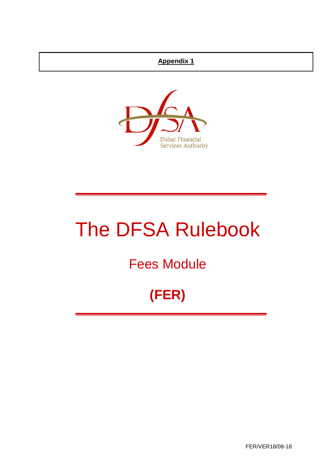## **Appendix 1**



# The DFSA Rulebook

## Fees Module

## **(FER)**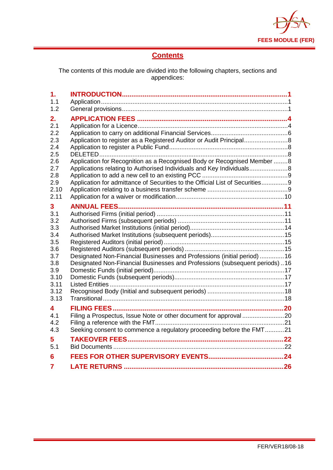

## **Contents**

The contents of this module are divided into the following chapters, sections and appendices:

| 1.<br>1.1                                                                                        |                                                                                                                                                                                                                                                                                                      |  |
|--------------------------------------------------------------------------------------------------|------------------------------------------------------------------------------------------------------------------------------------------------------------------------------------------------------------------------------------------------------------------------------------------------------|--|
| 1.2                                                                                              |                                                                                                                                                                                                                                                                                                      |  |
| 2.<br>2.1<br>2.2<br>2.3<br>2.4<br>2.5<br>2.6<br>2.7<br>2.8<br>2.9<br>2.10<br>2.11                | Application to register as a Registered Auditor or Audit Principal<br>Application for Recognition as a Recognised Body or Recognised Member 8<br>Applications relating to Authorised Individuals and Key Individuals<br>Application for admittance of Securities to the Official List of Securities9 |  |
| 3<br>3.1<br>3.2<br>3.3<br>3.4<br>3.5<br>3.6<br>3.7<br>3.8<br>3.9<br>3.10<br>3.11<br>3.12<br>3.13 | <b>ANNUAL FEES</b><br>Designated Non-Financial Businesses and Professions (initial period) 16<br>Designated Non-Financial Businesses and Professions (subsequent periods)16                                                                                                                          |  |
| 4<br>4.1<br>4.2<br>4.3                                                                           | Seeking consent to commence a regulatory proceeding before the FMT21                                                                                                                                                                                                                                 |  |
| 5<br>5.1                                                                                         |                                                                                                                                                                                                                                                                                                      |  |
| 6                                                                                                |                                                                                                                                                                                                                                                                                                      |  |
| 7                                                                                                |                                                                                                                                                                                                                                                                                                      |  |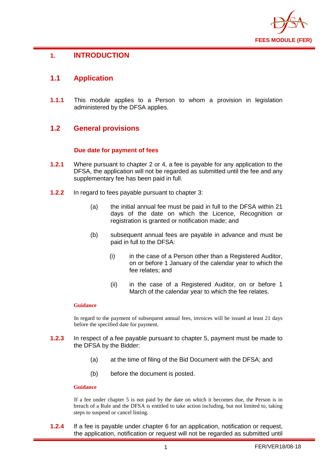

## <span id="page-2-0"></span>**1. INTRODUCTION**

## <span id="page-2-1"></span>**1.1 Application**

**1.1.1** This module applies to a Person to whom a provision in legislation administered by the DFSA applies.

## <span id="page-2-2"></span>**1.2 General provisions**

#### **Due date for payment of fees**

- **1.2.1** Where pursuant to chapter 2 or 4, a fee is payable for any application to the DFSA, the application will not be regarded as submitted until the fee and any supplementary fee has been paid in full.
- **1.2.2** In regard to fees payable pursuant to chapter 3:
	- (a) the initial annual fee must be paid in full to the DFSA within 21 days of the date on which the Licence, Recognition or registration is granted or notification made; and
	- (b) subsequent annual fees are payable in advance and must be paid in full to the DFSA:
		- (i) in the case of a Person other than a Registered Auditor, on or before 1 January of the calendar year to which the fee relates; and
		- (ii) in the case of a Registered Auditor, on or before 1 March of the calendar year to which the fee relates.

#### **Guidance**

In regard to the payment of subsequent annual fees, invoices will be issued at least 21 days before the specified date for payment.

- **1.2.3** In respect of a fee payable pursuant to chapter 5, payment must be made to the DFSA by the Bidder:
	- (a) at the time of filing of the Bid Document with the DFSA; and
	- (b) before the document is posted.

#### **Guidance**

If a fee under chapter 5 is not paid by the date on which it becomes due, the Person is in breach of a Rule and the DFSA is entitled to take action including, but not limited to, taking steps to suspend or cancel listing.

**1.2.4** If a fee is payable under chapter 6 for an application, notification or request, the application, notification or request will not be regarded as submitted until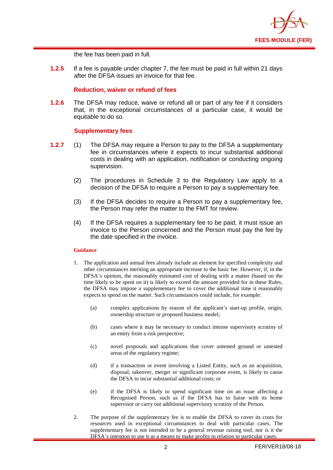

the fee has been paid in full.

**1.2.5** If a fee is payable under chapter 7, the fee must be paid in full within 21 days after the DFSA issues an invoice for that fee.

#### **Reduction, waiver or refund of fees**

**1.2.6** The DFSA may reduce, waive or refund all or part of any fee if it considers that, in the exceptional circumstances of a particular case, it would be equitable to do so.

#### **Supplementary fees**

- **1.2.7** (1) The DFSA may require a Person to pay to the DFSA a supplementary fee in circumstances where it expects to incur substantial additional costs in dealing with an application, notification or conducting ongoing supervision.
	- (2) The procedures in Schedule 3 to the Regulatory Law apply to a decision of the DFSA to require a Person to pay a supplementary fee.
	- (3) If the DFSA decides to require a Person to pay a supplementary fee, the Person may refer the matter to the FMT for review.
	- (4) If the DFSA requires a supplementary fee to be paid, it must issue an invoice to the Person concerned and the Person must pay the fee by the date specified in the invoice.

#### **Guidance**

- 1. The application and annual fees already include an element for specified complexity and other circumstances meriting an appropriate increase to the basic fee. However, if, in the DFSA's opinion, the reasonably estimated cost of dealing with a matter (based on the time likely to be spent on it) is likely to exceed the amount provided for in these Rules, the DFSA may impose a supplementary fee to cover the additional time it reasonably expects to spend on the matter. Such circumstances could include, for example:
	- (a) complex applications by reason of the applicant's start-up profile, origin, ownership structure or proposed business model;
	- (b) cases where it may be necessary to conduct intense supervisory scrutiny of an entity from a risk perspective;
	- (c) novel proposals and applications that cover untested ground or untested areas of the regulatory regime;
	- (d) if a transaction or event involving a Listed Entity, such as an acquisition, disposal, takeover, merger or significant corporate event, is likely to cause the DFSA to incur substantial additional costs; or
	- (e) if the DFSA is likely to spend significant time on an issue affecting a Recognised Person, such as if the DFSA has to liaise with its home supervisor or carry out additional supervisory scrutiny of the Person.
- 2. The purpose of the supplementary fee is to enable the DFSA to cover its costs for resources used in exceptional circumstances to deal with particular cases. The supplementary fee is not intended to be a general revenue raising tool, nor is it the DFSA's intention to use it as a means to make profits in relation to particular cases.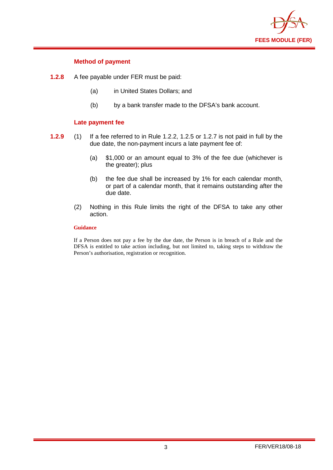

#### **Method of payment**

- **1.2.8** A fee payable under FER must be paid:
	- (a) in United States Dollars; and
	- (b) by a bank transfer made to the DFSA's bank account.

#### **Late payment fee**

- **1.2.9** (1) If a fee referred to in Rule 1.2.2, 1.2.5 or 1.2.7 is not paid in full by the due date, the non-payment incurs a late payment fee of:
	- (a) \$1,000 or an amount equal to 3% of the fee due (whichever is the greater); plus
	- (b) the fee due shall be increased by 1% for each calendar month, or part of a calendar month, that it remains outstanding after the due date.
	- (2) Nothing in this Rule limits the right of the DFSA to take any other action.

#### **Guidance**

If a Person does not pay a fee by the due date, the Person is in breach of a Rule and the DFSA is entitled to take action including, but not limited to, taking steps to withdraw the Person's authorisation, registration or recognition.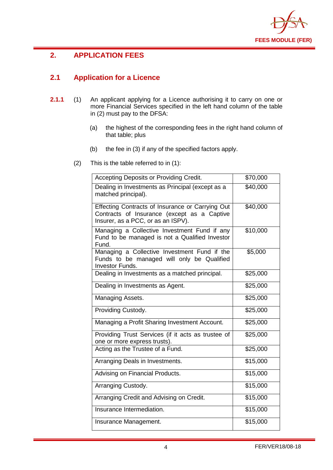

## <span id="page-5-0"></span>**2. APPLICATION FEES**

## <span id="page-5-1"></span>**2.1 Application for a Licence**

- **2.1.1** (1) An applicant applying for a Licence authorising it to carry on one or more Financial Services specified in the left hand column of the table in (2) must pay to the DFSA:
	- (a) the highest of the corresponding fees in the right hand column of that table; plus
	- (b) the fee in (3) if any of the specified factors apply.
	- (2) This is the table referred to in (1):

| Accepting Deposits or Providing Credit.                                                                                               | \$70,000 |
|---------------------------------------------------------------------------------------------------------------------------------------|----------|
| Dealing in Investments as Principal (except as a<br>matched principal).                                                               | \$40,000 |
| Effecting Contracts of Insurance or Carrying Out<br>Contracts of Insurance (except as a Captive<br>Insurer, as a PCC, or as an ISPV). | \$40,000 |
| Managing a Collective Investment Fund if any<br>Fund to be managed is not a Qualified Investor<br>Fund.                               | \$10,000 |
| Managing a Collective Investment Fund if the<br>Funds to be managed will only be Qualified<br>Investor Funds.                         | \$5,000  |
| Dealing in Investments as a matched principal.                                                                                        | \$25,000 |
| Dealing in Investments as Agent.                                                                                                      | \$25,000 |
| Managing Assets.                                                                                                                      | \$25,000 |
| Providing Custody.                                                                                                                    | \$25,000 |
| Managing a Profit Sharing Investment Account.                                                                                         | \$25,000 |
| Providing Trust Services (if it acts as trustee of<br>one or more express trusts).                                                    | \$25,000 |
| Acting as the Trustee of a Fund.                                                                                                      | \$25,000 |
| Arranging Deals in Investments.                                                                                                       | \$15,000 |
| Advising on Financial Products.                                                                                                       | \$15,000 |
| Arranging Custody.                                                                                                                    | \$15,000 |
| Arranging Credit and Advising on Credit.                                                                                              | \$15,000 |
| Insurance Intermediation.                                                                                                             | \$15,000 |
| Insurance Management.                                                                                                                 | \$15,000 |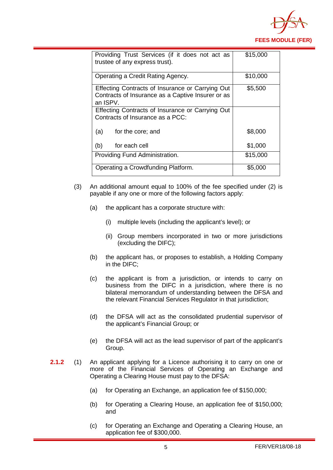

| Providing Trust Services (if it does not act as<br>trustee of any express trust).                                 | \$15,000 |
|-------------------------------------------------------------------------------------------------------------------|----------|
| Operating a Credit Rating Agency.                                                                                 | \$10,000 |
| Effecting Contracts of Insurance or Carrying Out<br>Contracts of Insurance as a Captive Insurer or as<br>an ISPV. | \$5,500  |
| Effecting Contracts of Insurance or Carrying Out<br>Contracts of Insurance as a PCC:                              |          |
| (a)<br>for the core; and                                                                                          | \$8,000  |
| for each cell<br>(b)                                                                                              | \$1,000  |
| Providing Fund Administration.                                                                                    | \$15,000 |
| Operating a Crowdfunding Platform.                                                                                | \$5,000  |

- (3) An additional amount equal to 100% of the fee specified under (2) is payable if any one or more of the following factors apply:
	- (a) the applicant has a corporate structure with:
		- (i) multiple levels (including the applicant's level); or
		- (ii) Group members incorporated in two or more jurisdictions (excluding the DIFC);
	- (b) the applicant has, or proposes to establish, a Holding Company in the DIFC;
	- (c) the applicant is from a jurisdiction, or intends to carry on business from the DIFC in a jurisdiction, where there is no bilateral memorandum of understanding between the DFSA and the relevant Financial Services Regulator in that jurisdiction;
	- (d) the DFSA will act as the consolidated prudential supervisor of the applicant's Financial Group; or
	- (e) the DFSA will act as the lead supervisor of part of the applicant's Group.
- **2.1.2** (1) An applicant applying for a Licence authorising it to carry on one or more of the Financial Services of Operating an Exchange and Operating a Clearing House must pay to the DFSA:
	- (a) for Operating an Exchange, an application fee of \$150,000;
	- (b) for Operating a Clearing House, an application fee of \$150,000; and
	- (c) for Operating an Exchange and Operating a Clearing House, an application fee of \$300,000.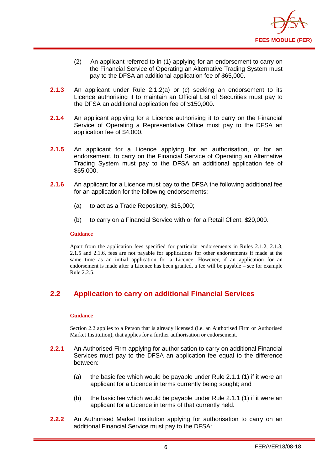

- (2) An applicant referred to in (1) applying for an endorsement to carry on the Financial Service of Operating an Alternative Trading System must pay to the DFSA an additional application fee of \$65,000.
- **2.1.3** An applicant under Rule 2.1.2(a) or (c) seeking an endorsement to its Licence authorising it to maintain an Official List of Securities must pay to the DFSA an additional application fee of \$150,000.
- **2.1.4** An applicant applying for a Licence authorising it to carry on the Financial Service of Operating a Representative Office must pay to the DFSA an application fee of \$4,000.
- **2.1.5** An applicant for a Licence applying for an authorisation, or for an endorsement, to carry on the Financial Service of Operating an Alternative Trading System must pay to the DFSA an additional application fee of \$65,000.
- **2.1.6** An applicant for a Licence must pay to the DFSA the following additional fee for an application for the following endorsements:
	- (a) to act as a Trade Repository, \$15,000;
	- (b) to carry on a Financial Service with or for a Retail Client, \$20,000.

#### **Guidance**

Apart from the application fees specified for particular endorsements in Rules 2.1.2, 2.1.3, 2.1.5 and 2.1.6, fees are not payable for applications for other endorsements if made at the same time as an initial application for a Licence. However, if an application for an endorsement is made after a Licence has been granted, a fee will be payable – see for example Rule 2.2.5.

## <span id="page-7-0"></span>**2.2 Application to carry on additional Financial Services**

#### **Guidance**

Section 2.2 applies to a Person that is already licensed (i.e. an Authorised Firm or Authorised Market Institution), that applies for a further authorisation or endorsement.

- **2.2.1** An Authorised Firm applying for authorisation to carry on additional Financial Services must pay to the DFSA an application fee equal to the difference between:
	- (a) the basic fee which would be payable under Rule 2.1.1 (1) if it were an applicant for a Licence in terms currently being sought; and
	- (b) the basic fee which would be payable under Rule 2.1.1 (1) if it were an applicant for a Licence in terms of that currently held.
- **2.2.2** An Authorised Market Institution applying for authorisation to carry on an additional Financial Service must pay to the DFSA: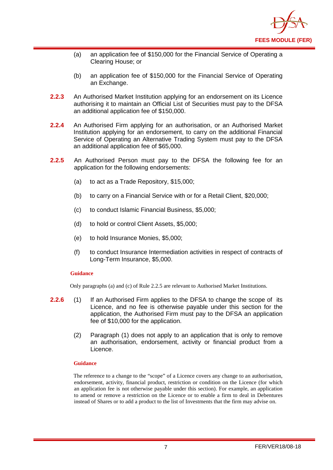

- (a) an application fee of \$150,000 for the Financial Service of Operating a Clearing House; or
- (b) an application fee of \$150,000 for the Financial Service of Operating an Exchange.
- **2.2.3** An Authorised Market Institution applying for an endorsement on its Licence authorising it to maintain an Official List of Securities must pay to the DFSA an additional application fee of \$150,000.
- **2.2.4** An Authorised Firm applying for an authorisation, or an Authorised Market Institution applying for an endorsement, to carry on the additional Financial Service of Operating an Alternative Trading System must pay to the DFSA an additional application fee of \$65,000.
- **2.2.5** An Authorised Person must pay to the DFSA the following fee for an application for the following endorsements:
	- (a) to act as a Trade Repository, \$15,000;
	- (b) to carry on a Financial Service with or for a Retail Client, \$20,000;
	- (c) to conduct Islamic Financial Business, \$5,000;
	- (d) to hold or control Client Assets, \$5,000;
	- (e) to hold Insurance Monies, \$5,000;
	- (f) to conduct Insurance Intermediation activities in respect of contracts of Long-Term Insurance, \$5,000.

#### **Guidance**

Only paragraphs (a) and (c) of Rule 2.2.5 are relevant to Authorised Market Institutions.

- **2.2.6** (1) If an Authorised Firm applies to the DFSA to change the scope of its Licence, and no fee is otherwise payable under this section for the application, the Authorised Firm must pay to the DFSA an application fee of \$10,000 for the application.
	- (2) Paragraph (1) does not apply to an application that is only to remove an authorisation, endorsement, activity or financial product from a Licence.

#### **Guidance**

The reference to a change to the "scope" of a Licence covers any change to an authorisation, endorsement, activity, financial product, restriction or condition on the Licence (for which an application fee is not otherwise payable under this section). For example, an application to amend or remove a restriction on the Licence or to enable a firm to deal in Debentures instead of Shares or to add a product to the list of Investments that the firm may advise on.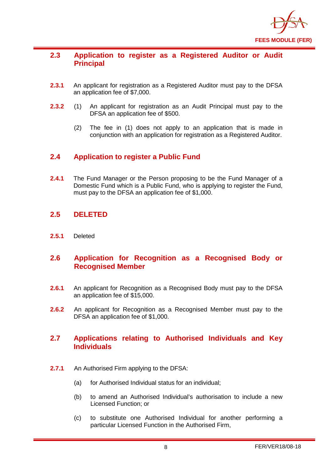

## <span id="page-9-0"></span>**2.3 Application to register as a Registered Auditor or Audit Principal**

- **2.3.1** An applicant for registration as a Registered Auditor must pay to the DFSA an application fee of \$7,000.
- **2.3.2** (1) An applicant for registration as an Audit Principal must pay to the DFSA an application fee of \$500.
	- (2) The fee in (1) does not apply to an application that is made in conjunction with an application for registration as a Registered Auditor.

## <span id="page-9-1"></span>**2.4 Application to register a Public Fund**

**2.4.1** The Fund Manager or the Person proposing to be the Fund Manager of a Domestic Fund which is a Public Fund, who is applying to register the Fund, must pay to the DFSA an application fee of \$1,000.

## <span id="page-9-2"></span>**2.5 DELETED**

**2.5.1** Deleted

## <span id="page-9-3"></span>**2.6 Application for Recognition as a Recognised Body or Recognised Member**

- **2.6.1** An applicant for Recognition as a Recognised Body must pay to the DFSA an application fee of \$15,000.
- **2.6.2** An applicant for Recognition as a Recognised Member must pay to the DFSA an application fee of \$1,000.

## <span id="page-9-4"></span>**2.7 Applications relating to Authorised Individuals and Key Individuals**

- **2.7.1** An Authorised Firm applying to the DFSA:
	- (a) for Authorised Individual status for an individual;
	- (b) to amend an Authorised Individual's authorisation to include a new Licensed Function; or
	- (c) to substitute one Authorised Individual for another performing a particular Licensed Function in the Authorised Firm,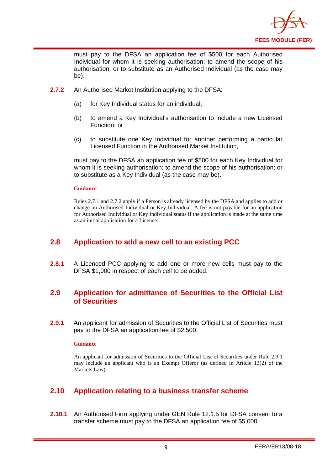

must pay to the DFSA an application fee of \$500 for each Authorised Individual for whom it is seeking authorisation; to amend the scope of his authorisation; or to substitute as an Authorised Individual (as the case may be).

- **2.7.2** An Authorised Market Institution applying to the DFSA:
	- (a) for Key Individual status for an individual;
	- (b) to amend a Key Individual's authorisation to include a new Licensed Function; or
	- (c) to substitute one Key Individual for another performing a particular Licensed Function in the Authorised Market Institution,

must pay to the DFSA an application fee of \$500 for each Key Individual for whom it is seeking authorisation; to amend the scope of his authorisation; or to substitute as a Key Individual (as the case may be).

#### **Guidance**

Rules 2.7.1 and 2.7.2 apply if a Person is already licensed by the DFSA and applies to add or change an Authorised Individual or Key Individual. A fee is not payable for an application for Authorised Individual or Key Individual status if the application is made at the same time as an initial application for a Licence.

## <span id="page-10-0"></span>**2.8 Application to add a new cell to an existing PCC**

**2.8.1** A Licenced PCC applying to add one or more new cells must pay to the DFSA \$1,000 in respect of each cell to be added.

## <span id="page-10-1"></span>**2.9 Application for admittance of Securities to the Official List of Securities**

**2.9.1** An applicant for admission of Securities to the Official List of Securities must pay to the DFSA an application fee of \$2,500.

#### **Guidance**

An applicant for admission of Securities to the Official List of Securities under Rule 2.9.1 may include an applicant who is an Exempt Offeror (as defined in Article 13(2) of the Markets Law).

## <span id="page-10-2"></span>**2.10 Application relating to a business transfer scheme**

**2.10.1** An Authorised Firm applying under GEN Rule 12.1.5 for DFSA consent to a transfer scheme must pay to the DFSA an application fee of \$5,000.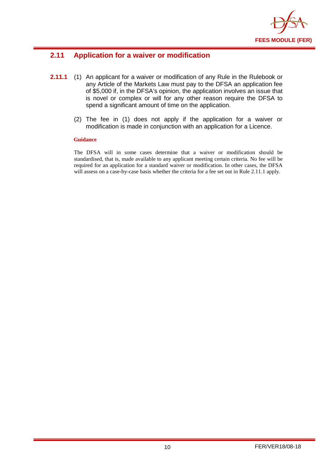

## <span id="page-11-0"></span>**2.11 Application for a waiver or modification**

- **2.11.1** (1) An applicant for a waiver or modification of any Rule in the Rulebook or any Article of the Markets Law must pay to the DFSA an application fee of \$5,000 if, in the DFSA's opinion, the application involves an issue that is novel or complex or will for any other reason require the DFSA to spend a significant amount of time on the application.
	- (2) The fee in (1) does not apply if the application for a waiver or modification is made in conjunction with an application for a Licence.

#### **Guidance**

The DFSA will in some cases determine that a waiver or modification should be standardised, that is, made available to any applicant meeting certain criteria. No fee will be required for an application for a standard waiver or modification. In other cases, the DFSA will assess on a case-by-case basis whether the criteria for a fee set out in Rule 2.11.1 apply.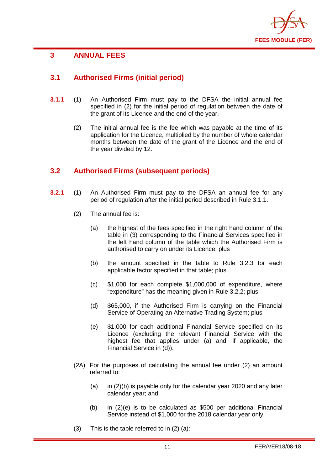

## <span id="page-12-0"></span>**3 ANNUAL FEES**

## <span id="page-12-1"></span>**3.1 Authorised Firms (initial period)**

- **3.1.1** (1) An Authorised Firm must pay to the DFSA the initial annual fee specified in (2) for the initial period of regulation between the date of the grant of its Licence and the end of the year.
	- (2) The initial annual fee is the fee which was payable at the time of its application for the Licence, multiplied by the number of whole calendar months between the date of the grant of the Licence and the end of the year divided by 12.

## <span id="page-12-2"></span>**3.2 Authorised Firms (subsequent periods)**

- **3.2.1** (1) An Authorised Firm must pay to the DFSA an annual fee for any period of regulation after the initial period described in Rule 3.1.1.
	- (2) The annual fee is:
		- (a) the highest of the fees specified in the right hand column of the table in (3) corresponding to the Financial Services specified in the left hand column of the table which the Authorised Firm is authorised to carry on under its Licence; plus
		- (b) the amount specified in the table to Rule 3.2.3 for each applicable factor specified in that table; plus
		- (c) \$1,000 for each complete \$1,000,000 of expenditure, where "expenditure" has the meaning given in Rule 3.2.2; plus
		- (d) \$65,000, if the Authorised Firm is carrying on the Financial Service of Operating an Alternative Trading System; plus
		- (e) \$1,000 for each additional Financial Service specified on its Licence (excluding the relevant Financial Service with the highest fee that applies under (a) and, if applicable, the Financial Service in (d)).
	- (2A) For the purposes of calculating the annual fee under (2) an amount referred to:
		- (a) in (2)(b) is payable only for the calendar year 2020 and any later calendar year; and
		- (b) in (2)(e) is to be calculated as \$500 per additional Financial Service instead of \$1,000 for the 2018 calendar year only.
	- (3) This is the table referred to in (2) (a):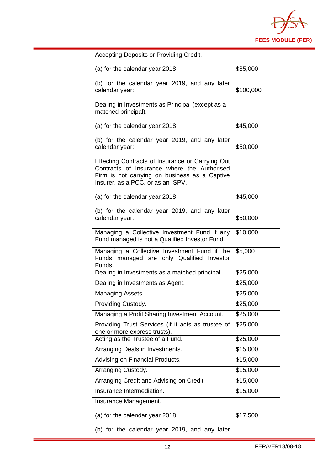

| Accepting Deposits or Providing Credit.                                                                                                                                               |           |
|---------------------------------------------------------------------------------------------------------------------------------------------------------------------------------------|-----------|
| (a) for the calendar year 2018:                                                                                                                                                       | \$85,000  |
| (b) for the calendar year 2019, and any later<br>calendar year:                                                                                                                       | \$100,000 |
| Dealing in Investments as Principal (except as a<br>matched principal).                                                                                                               |           |
| (a) for the calendar year 2018:                                                                                                                                                       | \$45,000  |
| (b) for the calendar year 2019, and any later<br>calendar year:                                                                                                                       | \$50,000  |
| Effecting Contracts of Insurance or Carrying Out<br>Contracts of Insurance where the Authorised<br>Firm is not carrying on business as a Captive<br>Insurer, as a PCC, or as an ISPV. |           |
| (a) for the calendar year 2018:                                                                                                                                                       | \$45,000  |
| (b) for the calendar year 2019, and any later<br>calendar year:                                                                                                                       | \$50,000  |
| Managing a Collective Investment Fund if any<br>Fund managed is not a Qualified Investor Fund.                                                                                        | \$10,000  |
| Managing a Collective Investment Fund if the<br>Funds managed are only Qualified Investor<br>Funds.                                                                                   | \$5,000   |
| Dealing in Investments as a matched principal.                                                                                                                                        | \$25,000  |
| Dealing in Investments as Agent.                                                                                                                                                      | \$25,000  |
| Managing Assets.                                                                                                                                                                      | \$25,000  |
| Providing Custody.                                                                                                                                                                    | \$25,000  |
| Managing a Profit Sharing Investment Account.                                                                                                                                         | \$25,000  |
| Providing Trust Services (if it acts as trustee of<br>one or more express trusts).                                                                                                    | \$25,000  |
| Acting as the Trustee of a Fund.                                                                                                                                                      | \$25,000  |
| Arranging Deals in Investments.                                                                                                                                                       | \$15,000  |
| Advising on Financial Products.                                                                                                                                                       | \$15,000  |
| Arranging Custody.                                                                                                                                                                    | \$15,000  |
| Arranging Credit and Advising on Credit                                                                                                                                               | \$15,000  |
| Insurance Intermediation.                                                                                                                                                             | \$15,000  |
| Insurance Management.                                                                                                                                                                 |           |
| (a) for the calendar year 2018:                                                                                                                                                       | \$17,500  |
| (b) for the calendar year 2019, and any later                                                                                                                                         |           |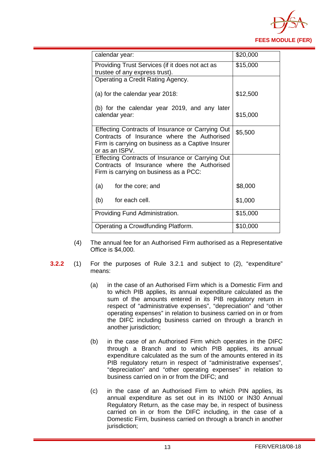

| calendar year:                                                                                                                                                         | \$20,000 |
|------------------------------------------------------------------------------------------------------------------------------------------------------------------------|----------|
| Providing Trust Services (if it does not act as<br>trustee of any express trust).                                                                                      | \$15,000 |
| Operating a Credit Rating Agency.                                                                                                                                      |          |
| (a) for the calendar year 2018:                                                                                                                                        | \$12,500 |
| (b) for the calendar year 2019, and any later<br>calendar year:                                                                                                        | \$15,000 |
| Effecting Contracts of Insurance or Carrying Out<br>Contracts of Insurance where the Authorised<br>Firm is carrying on business as a Captive Insurer<br>or as an ISPV. | \$5,500  |
| Effecting Contracts of Insurance or Carrying Out<br>Contracts of Insurance where the Authorised<br>Firm is carrying on business as a PCC:                              |          |
| (a)<br>for the core; and                                                                                                                                               | \$8,000  |
| (b)<br>for each cell.                                                                                                                                                  | \$1,000  |
| Providing Fund Administration.                                                                                                                                         | \$15,000 |
| Operating a Crowdfunding Platform.                                                                                                                                     | \$10,000 |

- (4) The annual fee for an Authorised Firm authorised as a Representative Office is \$4,000.
- **3.2.2** (1) For the purposes of Rule 3.2.1 and subject to (2), "expenditure" means:
	- (a) in the case of an Authorised Firm which is a Domestic Firm and to which PIB applies, its annual expenditure calculated as the sum of the amounts entered in its PIB regulatory return in respect of "administrative expenses", "depreciation" and "other operating expenses" in relation to business carried on in or from the DIFC including business carried on through a branch in another jurisdiction:
	- (b) in the case of an Authorised Firm which operates in the DIFC through a Branch and to which PIB applies, its annual expenditure calculated as the sum of the amounts entered in its PIB regulatory return in respect of "administrative expenses", "depreciation" and "other operating expenses" in relation to business carried on in or from the DIFC; and
	- (c) in the case of an Authorised Firm to which PIN applies, its annual expenditure as set out in its IN100 or IN30 Annual Regulatory Return, as the case may be, in respect of business carried on in or from the DIFC including, in the case of a Domestic Firm, business carried on through a branch in another jurisdiction;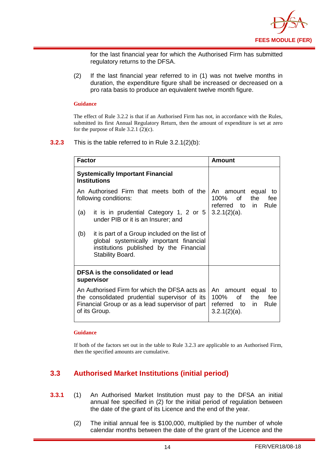

for the last financial year for which the Authorised Firm has submitted regulatory returns to the DFSA.

(2) If the last financial year referred to in (1) was not twelve months in duration, the expenditure figure shall be increased or decreased on a pro rata basis to produce an equivalent twelve month figure.

#### **Guidance**

The effect of Rule 3.2.2 is that if an Authorised Firm has not, in accordance with the Rules, submitted its first Annual Regulatory Return, then the amount of expenditure is set at zero for the purpose of Rule 3.2.1  $(2)(c)$ .

#### **3.2.3** This is the table referred to in Rule 3.2.1(2)(b):

| <b>Factor</b>                                                                                                                                                      | Amount                                                                                            |  |
|--------------------------------------------------------------------------------------------------------------------------------------------------------------------|---------------------------------------------------------------------------------------------------|--|
| <b>Systemically Important Financial</b><br><b>Institutions</b>                                                                                                     |                                                                                                   |  |
| An Authorised Firm that meets both of the<br>following conditions:                                                                                                 | An amount<br>equal<br>to<br>of<br>100%<br>the<br>fee<br>referred<br>to in<br>Rule                 |  |
| it is in prudential Category 1, 2 or 5<br>(a)<br>under PIB or it is an Insurer; and                                                                                | $3.2.1(2)(a)$ .                                                                                   |  |
| it is part of a Group included on the list of<br>(b)<br>global systemically important financial<br>institutions published by the Financial<br>Stability Board.     |                                                                                                   |  |
| DFSA is the consolidated or lead<br>supervisor                                                                                                                     |                                                                                                   |  |
| An Authorised Firm for which the DFSA acts as<br>the consolidated prudential supervisor of its<br>Financial Group or as a lead supervisor of part<br>of its Group. | equal<br>An amount<br>to<br>100%<br>of<br>the<br>fee<br>referred to in<br>Rule<br>$3.2.1(2)(a)$ . |  |

#### **Guidance**

If both of the factors set out in the table to Rule 3.2.3 are applicable to an Authorised Firm, then the specified amounts are cumulative.

## <span id="page-15-0"></span>**3.3 Authorised Market Institutions (initial period)**

- **3.3.1** (1) An Authorised Market Institution must pay to the DFSA an initial annual fee specified in (2) for the initial period of regulation between the date of the grant of its Licence and the end of the year.
	- (2) The initial annual fee is \$100,000, multiplied by the number of whole calendar months between the date of the grant of the Licence and the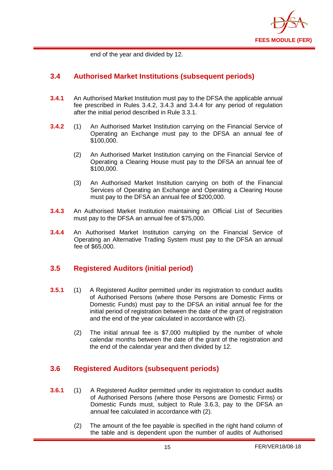

end of the year and divided by 12.

#### <span id="page-16-0"></span>**3.4 Authorised Market Institutions (subsequent periods)**

- **3.4.1** An Authorised Market Institution must pay to the DFSA the applicable annual fee prescribed in Rules 3.4.2, 3.4.3 and 3.4.4 for any period of regulation after the initial period described in Rule 3.3.1.
- **3.4.2** (1) An Authorised Market Institution carrying on the Financial Service of Operating an Exchange must pay to the DFSA an annual fee of \$100,000.
	- (2) An Authorised Market Institution carrying on the Financial Service of Operating a Clearing House must pay to the DFSA an annual fee of \$100,000.
	- (3) An Authorised Market Institution carrying on both of the Financial Services of Operating an Exchange and Operating a Clearing House must pay to the DFSA an annual fee of \$200,000.
- **3.4.3** An Authorised Market Institution maintaining an Official List of Securities must pay to the DFSA an annual fee of \$75,000.
- **3.4.4** An Authorised Market Institution carrying on the Financial Service of Operating an Alternative Trading System must pay to the DFSA an annual fee of \$65,000.

## <span id="page-16-1"></span>**3.5 Registered Auditors (initial period)**

- **3.5.1** (1) A Registered Auditor permitted under its registration to conduct audits of Authorised Persons (where those Persons are Domestic Firms or Domestic Funds) must pay to the DFSA an initial annual fee for the initial period of registration between the date of the grant of registration and the end of the year calculated in accordance with (2).
	- (2) The initial annual fee is \$7,000 multiplied by the number of whole calendar months between the date of the grant of the registration and the end of the calendar year and then divided by 12.

## <span id="page-16-2"></span>**3.6 Registered Auditors (subsequent periods)**

- **3.6.1** (1) A Registered Auditor permitted under its registration to conduct audits of Authorised Persons (where those Persons are Domestic Firms) or Domestic Funds must, subject to Rule 3.6.3, pay to the DFSA an annual fee calculated in accordance with (2).
	- (2) The amount of the fee payable is specified in the right hand column of the table and is dependent upon the number of audits of Authorised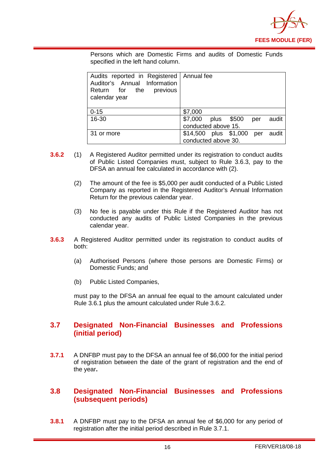

Persons which are Domestic Firms and audits of Domestic Funds specified in the left hand column.

| Audits reported in Registered   Annual fee<br>Auditor's Annual Information<br>Return for the previous<br>calendar year |                                    |  |  |
|------------------------------------------------------------------------------------------------------------------------|------------------------------------|--|--|
| $0 - 15$                                                                                                               | \$7,000                            |  |  |
| 16-30                                                                                                                  | \$7,000 plus \$500<br>audit<br>per |  |  |
|                                                                                                                        | conducted above 15.                |  |  |
| 31 or more                                                                                                             | \$14,500 plus \$1,000 per<br>audit |  |  |
|                                                                                                                        | conducted above 30.                |  |  |

- **3.6.2** (1) A Registered Auditor permitted under its registration to conduct audits of Public Listed Companies must, subject to Rule 3.6.3, pay to the DFSA an annual fee calculated in accordance with (2).
	- (2) The amount of the fee is \$5,000 per audit conducted of a Public Listed Company as reported in the Registered Auditor's Annual Information Return for the previous calendar year.
	- (3) No fee is payable under this Rule if the Registered Auditor has not conducted any audits of Public Listed Companies in the previous calendar year.
- **3.6.3** A Registered Auditor permitted under its registration to conduct audits of both:
	- (a) Authorised Persons (where those persons are Domestic Firms) or Domestic Funds; and
	- (b) Public Listed Companies,

must pay to the DFSA an annual fee equal to the amount calculated under Rule 3.6.1 plus the amount calculated under Rule 3.6.2.

#### <span id="page-17-0"></span>**3.7 Designated Non-Financial Businesses and Professions (initial period)**

**3.7.1** A DNFBP must pay to the DFSA an annual fee of \$6,000 for the initial period of registration between the date of the grant of registration and the end of the year**.** 

#### <span id="page-17-1"></span>**3.8 Designated Non-Financial Businesses and Professions (subsequent periods)**

**3.8.1** A DNFBP must pay to the DFSA an annual fee of \$6,000 for any period of registration after the initial period described in Rule 3.7.1.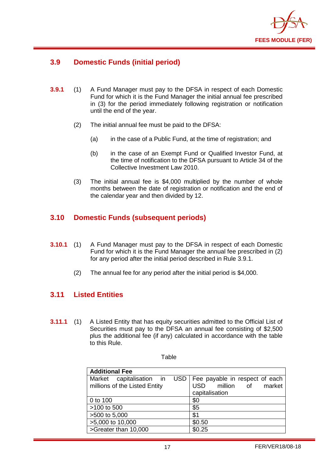

## <span id="page-18-0"></span>**3.9 Domestic Funds (initial period)**

- **3.9.1** (1) A Fund Manager must pay to the DFSA in respect of each Domestic Fund for which it is the Fund Manager the initial annual fee prescribed in (3) for the period immediately following registration or notification until the end of the year.
	- (2) The initial annual fee must be paid to the DFSA:
		- (a) in the case of a Public Fund, at the time of registration; and
		- (b) in the case of an Exempt Fund or Qualified Investor Fund, at the time of notification to the DFSA pursuant to Article 34 of the Collective Investment Law 2010.
	- (3) The initial annual fee is \$4,000 multiplied by the number of whole months between the date of registration or notification and the end of the calendar year and then divided by 12.

## <span id="page-18-1"></span>**3.10 Domestic Funds (subsequent periods)**

- **3.10.1** (1) A Fund Manager must pay to the DFSA in respect of each Domestic Fund for which it is the Fund Manager the annual fee prescribed in (2) for any period after the initial period described in Rule 3.9.1.
	- (2) The annual fee for any period after the initial period is \$4,000.

## <span id="page-18-2"></span>**3.11 Listed Entities**

**3.11.1** (1) A Listed Entity that has equity securities admitted to the Official List of Securities must pay to the DFSA an annual fee consisting of \$2,500 plus the additional fee (if any) calculated in accordance with the table to this Rule.

| <b>Additional Fee</b>                                     |                                                                                              |  |  |
|-----------------------------------------------------------|----------------------------------------------------------------------------------------------|--|--|
| Market capitalisation in<br>millions of the Listed Entity | USD   Fee payable in respect of each<br>million of<br>market<br><b>USD</b><br>capitalisation |  |  |
| 0 to 100                                                  | \$0                                                                                          |  |  |
| >100 to 500                                               | \$5                                                                                          |  |  |
| >500 to 5,000                                             | \$1                                                                                          |  |  |
| >5,000 to 10,000                                          | \$0.50                                                                                       |  |  |
| >Greater than 10,000                                      | \$0.25                                                                                       |  |  |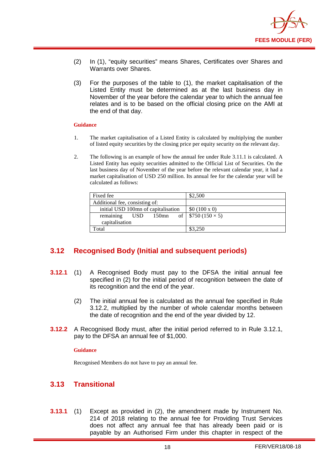

- (2) In (1), "equity securities" means Shares, Certificates over Shares and Warrants over Shares.
- (3) For the purposes of the table to (1), the market capitalisation of the Listed Entity must be determined as at the last business day in November of the year before the calendar year to which the annual fee relates and is to be based on the official closing price on the AMI at the end of that day.

#### **Guidance**

- 1. The market capitalisation of a Listed Entity is calculated by multiplying the number of listed equity securities by the closing price per equity security on the relevant day.
- 2. The following is an example of how the annual fee under Rule 3.11.1 is calculated. A Listed Entity has equity securities admitted to the Official List of Securities. On the last business day of November of the year before the relevant calendar year, it had a market capitalisation of USD 250 million. Its annual fee for the calendar year will be calculated as follows:

| Fixed fee                           | \$2,500                    |
|-------------------------------------|----------------------------|
| Additional fee, consisting of:      |                            |
| initial USD 100mn of capitalisation | \$0 (100 x 0)              |
| remaining<br>150mn<br>USD.          | of   $$750 (150 \times 5)$ |
| capitalisation                      |                            |
| `otal                               | \$3,250                    |

## <span id="page-19-0"></span>**3.12 Recognised Body (Initial and subsequent periods)**

- **3.12.1** (1) A Recognised Body must pay to the DFSA the initial annual fee specified in (2) for the initial period of recognition between the date of its recognition and the end of the year.
	- (2) The initial annual fee is calculated as the annual fee specified in Rule 3.12.2, multiplied by the number of whole calendar months between the date of recognition and the end of the year divided by 12.
- **3.12.2** A Recognised Body must, after the initial period referred to in Rule 3.12.1, pay to the DFSA an annual fee of \$1,000.

#### **Guidance**

<span id="page-19-1"></span>Recognised Members do not have to pay an annual fee.

## **3.13 Transitional**

**3.13.1** (1) Except as provided in (2), the amendment made by Instrument No. 214 of 2018 relating to the annual fee for Providing Trust Services does not affect any annual fee that has already been paid or is payable by an Authorised Firm under this chapter in respect of the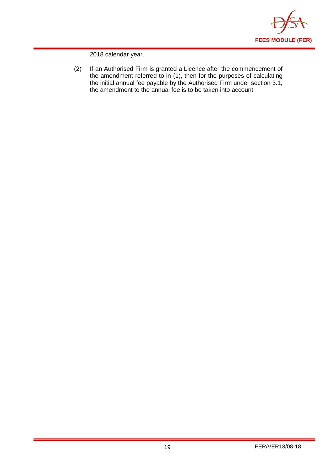

2018 calendar year.

(2) If an Authorised Firm is granted a Licence after the commencement of the amendment referred to in (1), then for the purposes of calculating the initial annual fee payable by the Authorised Firm under section 3.1, the amendment to the annual fee is to be taken into account.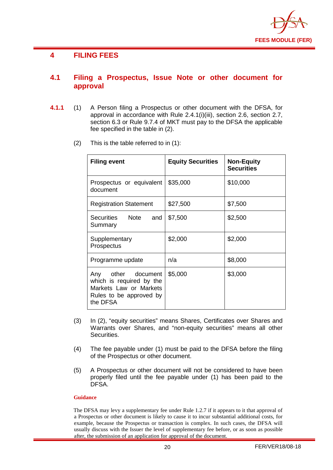

## <span id="page-21-0"></span>**4 FILING FEES**

#### <span id="page-21-1"></span>**4.1 Filing a Prospectus, Issue Note or other document for approval**

- **4.1.1** (1) A Person filing a Prospectus or other document with the DFSA, for approval in accordance with Rule 2.4.1(i)(iii), section 2.6, section 2.7, section 6.3 or Rule 9.7.4 of MKT must pay to the DFSA the applicable fee specified in the table in (2).
	- (2) This is the table referred to in (1):

| <b>Filing event</b>                                                                                             | <b>Equity Securities</b> | <b>Non-Equity</b><br><b>Securities</b> |
|-----------------------------------------------------------------------------------------------------------------|--------------------------|----------------------------------------|
| Prospectus or equivalent<br>document                                                                            | \$35,000                 | \$10,000                               |
| <b>Registration Statement</b>                                                                                   | \$27,500                 | \$7,500                                |
| Securities Note<br>and<br>Summary                                                                               | \$7,500                  | \$2,500                                |
| Supplementary<br>Prospectus                                                                                     | \$2,000                  | \$2,000                                |
| Programme update                                                                                                | n/a                      | \$8,000                                |
| Any other document<br>which is required by the<br>Markets Law or Markets<br>Rules to be approved by<br>the DFSA | \$5,000                  | \$3,000                                |

- (3) In (2), "equity securities" means Shares, Certificates over Shares and Warrants over Shares, and "non-equity securities" means all other Securities.
- (4) The fee payable under (1) must be paid to the DFSA before the filing of the Prospectus or other document.
- (5) A Prospectus or other document will not be considered to have been properly filed until the fee payable under (1) has been paid to the DFSA.

#### **Guidance**

The DFSA may levy a supplementary fee under Rule 1.2.7 if it appears to it that approval of a Prospectus or other document is likely to cause it to incur substantial additional costs, for example, because the Prospectus or transaction is complex. In such cases, the DFSA will usually discuss with the Issuer the level of supplementary fee before, or as soon as possible after, the submission of an application for approval of the document.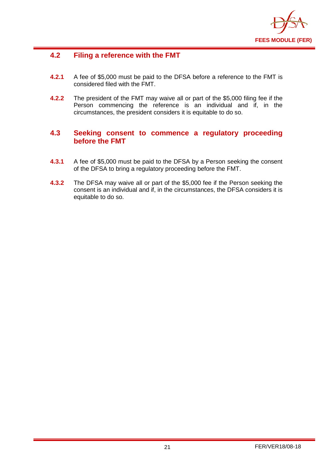

## <span id="page-22-0"></span>**4.2 Filing a reference with the FMT**

- **4.2.1** A fee of \$5,000 must be paid to the DFSA before a reference to the FMT is considered filed with the FMT.
- **4.2.2** The president of the FMT may waive all or part of the \$5,000 filing fee if the Person commencing the reference is an individual and if, in the circumstances, the president considers it is equitable to do so.

## <span id="page-22-1"></span>**4.3 Seeking consent to commence a regulatory proceeding before the FMT**

- **4.3.1** A fee of \$5,000 must be paid to the DFSA by a Person seeking the consent of the DFSA to bring a regulatory proceeding before the FMT.
- **4.3.2** The DFSA may waive all or part of the \$5,000 fee if the Person seeking the consent is an individual and if, in the circumstances, the DFSA considers it is equitable to do so.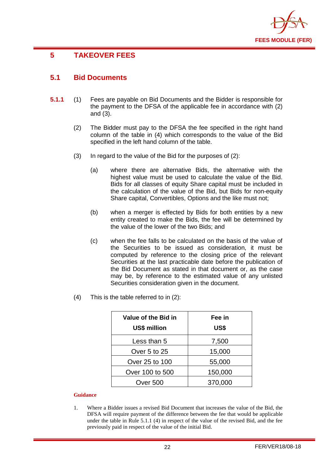

## <span id="page-23-0"></span>**5 TAKEOVER FEES**

## <span id="page-23-1"></span>**5.1 Bid Documents**

- **5.1.1** (1) Fees are payable on Bid Documents and the Bidder is responsible for the payment to the DFSA of the applicable fee in accordance with (2) and (3).
	- (2) The Bidder must pay to the DFSA the fee specified in the right hand column of the table in (4) which corresponds to the value of the Bid specified in the left hand column of the table.
	- (3) In regard to the value of the Bid for the purposes of (2):
		- (a) where there are alternative Bids, the alternative with the highest value must be used to calculate the value of the Bid. Bids for all classes of equity Share capital must be included in the calculation of the value of the Bid, but Bids for non-equity Share capital, Convertibles, Options and the like must not;
		- (b) when a merger is effected by Bids for both entities by a new entity created to make the Bids, the fee will be determined by the value of the lower of the two Bids; and
		- (c) when the fee falls to be calculated on the basis of the value of the Securities to be issued as consideration, it must be computed by reference to the closing price of the relevant Securities at the last practicable date before the publication of the Bid Document as stated in that document or, as the case may be, by reference to the estimated value of any unlisted Securities consideration given in the document.
	- (4) This is the table referred to in (2):

| Value of the Bid in<br><b>US\$ million</b> | Fee in<br>US\$ |
|--------------------------------------------|----------------|
| Less than 5                                | 7,500          |
| Over 5 to 25                               | 15,000         |
| Over 25 to 100                             | 55,000         |
| Over 100 to 500                            | 150,000        |
| Over 500                                   | 370,000        |

#### **Guidance**

1. Where a Bidder issues a revised Bid Document that increases the value of the Bid, the DFSA will require payment of the difference between the fee that would be applicable under the table in Rule 5.1.1 (4) in respect of the value of the revised Bid, and the fee previously paid in respect of the value of the initial Bid.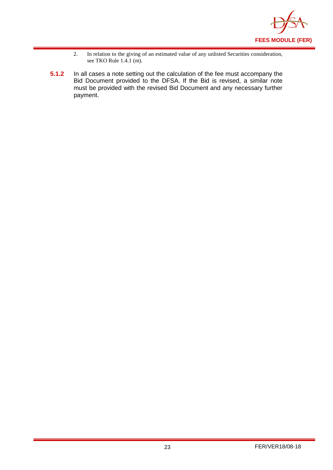

- 2. In relation to the giving of an estimated value of any unlisted Securities consideration, see TKO Rule  $1.4.1$  (m).
- **5.1.2** In all cases a note setting out the calculation of the fee must accompany the Bid Document provided to the DFSA. If the Bid is revised, a similar note must be provided with the revised Bid Document and any necessary further payment.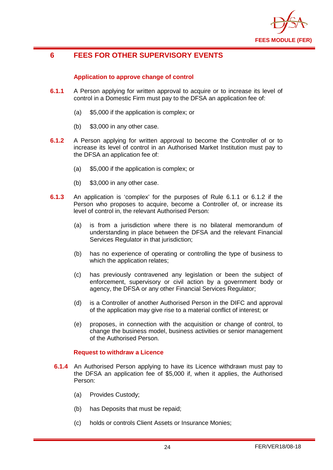

## <span id="page-25-0"></span>**6 FEES FOR OTHER SUPERVISORY EVENTS**

#### **Application to approve change of control**

- **6.1.1** A Person applying for written approval to acquire or to increase its level of control in a Domestic Firm must pay to the DFSA an application fee of:
	- (a) \$5,000 if the application is complex; or
	- (b) \$3,000 in any other case.
- **6.1.2** A Person applying for written approval to become the Controller of or to increase its level of control in an Authorised Market Institution must pay to the DFSA an application fee of:
	- (a) \$5,000 if the application is complex; or
	- (b) \$3,000 in any other case.
- **6.1.3** An application is 'complex' for the purposes of Rule 6.1.1 or 6.1.2 if the Person who proposes to acquire, become a Controller of, or increase its level of control in, the relevant Authorised Person:
	- (a) is from a jurisdiction where there is no bilateral memorandum of understanding in place between the DFSA and the relevant Financial Services Regulator in that jurisdiction;
	- (b) has no experience of operating or controlling the type of business to which the application relates;
	- (c) has previously contravened any legislation or been the subject of enforcement, supervisory or civil action by a government body or agency, the DFSA or any other Financial Services Regulator;
	- (d) is a Controller of another Authorised Person in the DIFC and approval of the application may give rise to a material conflict of interest; or
	- (e) proposes, in connection with the acquisition or change of control, to change the business model, business activities or senior management of the Authorised Person.

#### **Request to withdraw a Licence**

- **6.1.4** An Authorised Person applying to have its Licence withdrawn must pay to the DFSA an application fee of \$5,000 if, when it applies, the Authorised Person:
	- (a) Provides Custody;
	- (b) has Deposits that must be repaid;
	- (c) holds or controls Client Assets or Insurance Monies;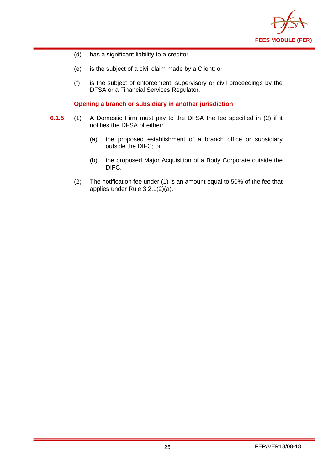

- (d) has a significant liability to a creditor;
- (e) is the subject of a civil claim made by a Client; or
- (f) is the subject of enforcement, supervisory or civil proceedings by the DFSA or a Financial Services Regulator.

**Opening a branch or subsidiary in another jurisdiction** 

- **6.1.5** (1) A Domestic Firm must pay to the DFSA the fee specified in (2) if it notifies the DFSA of either:
	- (a) the proposed establishment of a branch office or subsidiary outside the DIFC; or
	- (b) the proposed Major Acquisition of a Body Corporate outside the DIFC.
	- (2) The notification fee under (1) is an amount equal to 50% of the fee that applies under Rule 3.2.1(2)(a).